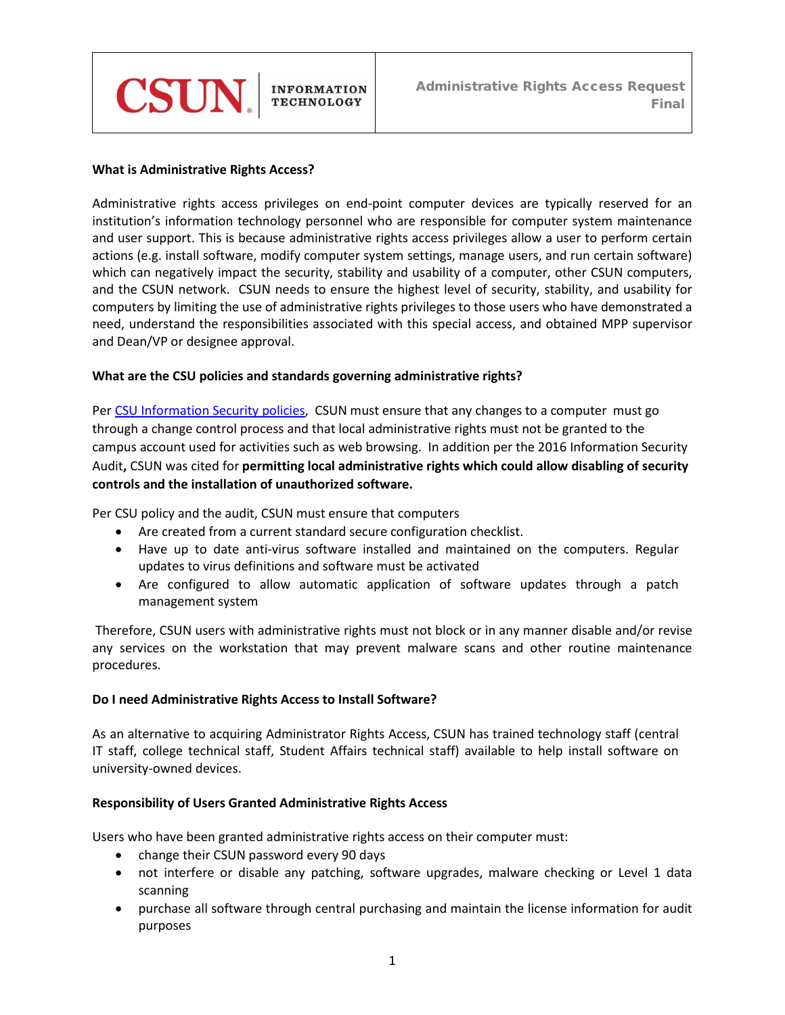

## **What is Administrative Rights Access?**

Administrative rights access privileges on end-point computer devices are typically reserved for an institution's information technology personnel who are responsible for computer system maintenance and user support. This is because administrative rights access privileges allow a user to perform certain actions (e.g. install software, modify computer system settings, manage users, and run certain software) which can negatively impact the security, stability and usability of a computer, other CSUN computers, and the CSUN network. CSUN needs to ensure the highest level of security, stability, and usability for computers by limiting the use of administrative rights privileges to those users who have demonstrated a need, understand the responsibilities associated with this special access, and obtained MPP supervisor and Dean/VP or designee approval.

#### **What are the CSU policies and standards governing administrative rights?**

Pe[r CSU Information Security](https://www.csun.edu/sites/default/files/8050.S200%20config_mgmt_high_risk_critical_workstation.pdf) policies, CSUN must ensure that any changes to a computer must go through a change control process and that local administrative rights must not be granted to the campus account used for activities such as web browsing. In addition per the 2016 Information Security Audit**,** CSUN was cited for **permitting local administrative rights which could allow disabling of security controls and the installation of unauthorized software.** 

Per CSU policy and the audit, CSUN must ensure that computers

- Are created from a current standard secure configuration checklist.
- Have up to date anti-virus software installed and maintained on the computers. Regular updates to virus definitions and software must be activated
- Are configured to allow automatic application of software updates through a patch management system

Therefore, CSUN users with administrative rights must not block or in any manner disable and/or revise any services on the workstation that may prevent malware scans and other routine maintenance procedures.

#### **Do I need Administrative Rights Access to Install Software?**

As an alternative to acquiring Administrator Rights Access, CSUN has trained technology staff (central IT staff, college technical staff, Student Affairs technical staff) available to help install software on university-owned devices.

## **Responsibility of Users Granted Administrative Rights Access**

Users who have been granted administrative rights access on their computer must:

- change their CSUN password every 90 days
- not interfere or disable any patching, software upgrades, malware checking or Level 1 data scanning
- purchase all software through central purchasing and maintain the license information for audit purposes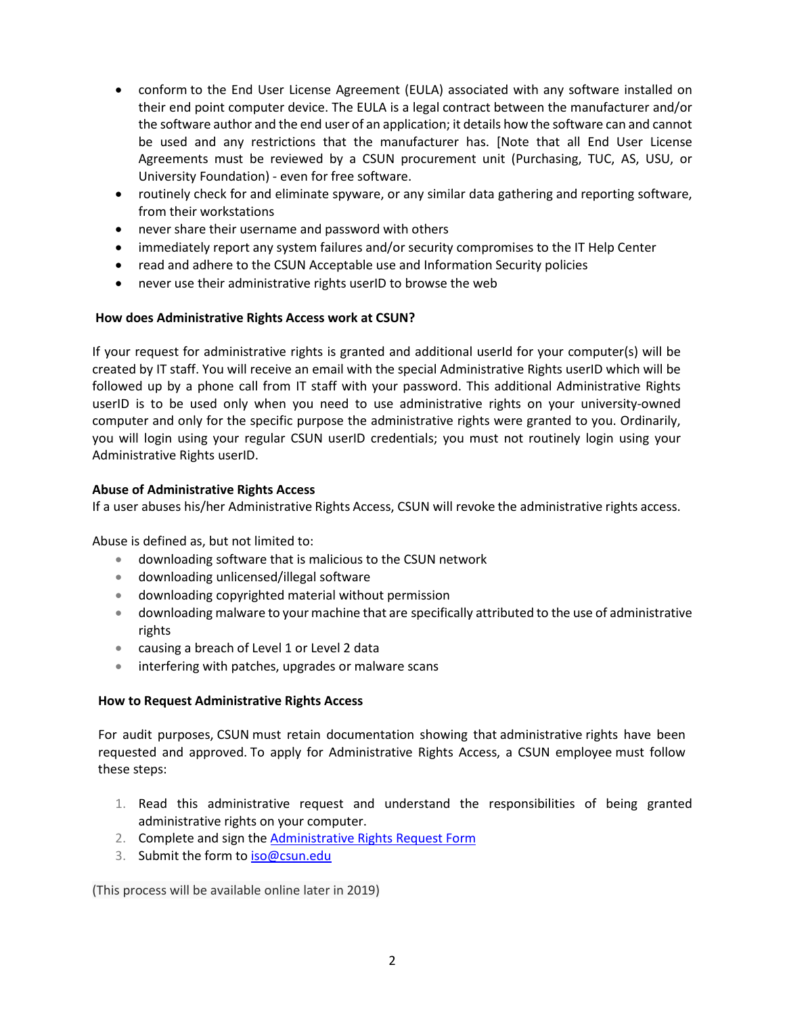- conform to the End User License Agreement (EULA) associated with any software installed on their end point computer device. The EULA is a legal contract between the manufacturer and/or the software author and the end user of an application; it details how the software can and cannot be used and any restrictions that the manufacturer has. [Note that all End User License Agreements must be reviewed by a CSUN procurement unit (Purchasing, TUC, AS, USU, or University Foundation) - even for free software.
- routinely check for and eliminate spyware, or any similar data gathering and reporting software, from their workstations
- never share their username and password with others
- immediately report any system failures and/or security compromises to the IT Help Center
- read and adhere to the CSUN Acceptable use and Information Security policies
- never use their administrative rights userID to browse the web

# **How does Administrative Rights Access work at CSUN?**

If your request for administrative rights is granted and additional userId for your computer(s) will be created by IT staff. You will receive an email with the special Administrative Rights userID which will be followed up by a phone call from IT staff with your password. This additional Administrative Rights userID is to be used only when you need to use administrative rights on your university-owned computer and only for the specific purpose the administrative rights were granted to you. Ordinarily, you will login using your regular CSUN userID credentials; you must not routinely login using your Administrative Rights userID.

## **Abuse of Administrative Rights Access**

If a user abuses his/her Administrative Rights Access, CSUN will revoke the administrative rights access.

Abuse is defined as, but not limited to:

- downloading software that is malicious to the CSUN network
- downloading unlicensed/illegal software
- downloading copyrighted material without permission
- downloading malware to your machine that are specifically attributed to the use of administrative rights
- causing a breach of Level 1 or Level 2 data
- interfering with patches, upgrades or malware scans

## **How to Request Administrative Rights Access**

For audit purposes, CSUN must retain documentation showing that administrative rights have been requested and approved. To apply for Administrative Rights Access, a CSUN employee must follow these steps:

- 1. Read this administrative request and understand the responsibilities of being granted administrative rights on your computer.
- 2. Complete and sign the [Administrative Rights Request](https://www.csun.edu/it/information-security-access-forms) Form
- 3. Submit the form to [iso@csun.edu](mailto:iso@csun.edu)

(This process will be available online later in 2019)